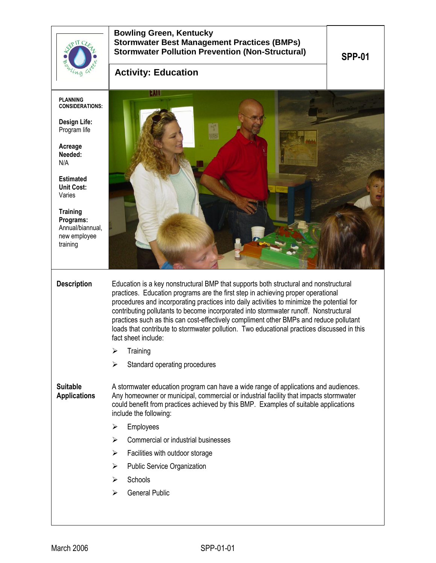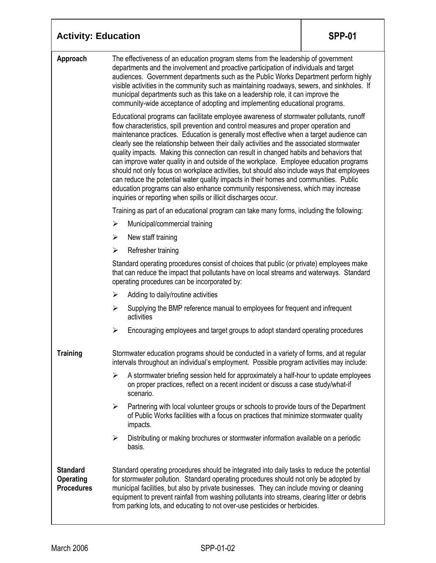| <b>Activity: Education</b>                        |                                                                                                                                                                                                                                                                                                                                                                                                                                                                                                                                                                                                                                                                                                                                                                                                                                                                                                            | <b>SPP-01</b> |  |
|---------------------------------------------------|------------------------------------------------------------------------------------------------------------------------------------------------------------------------------------------------------------------------------------------------------------------------------------------------------------------------------------------------------------------------------------------------------------------------------------------------------------------------------------------------------------------------------------------------------------------------------------------------------------------------------------------------------------------------------------------------------------------------------------------------------------------------------------------------------------------------------------------------------------------------------------------------------------|---------------|--|
| Approach                                          | The effectiveness of an education program stems from the leadership of government<br>departments and the involvement and proactive participation of individuals and target<br>audiences. Government departments such as the Public Works Department perform highly<br>visible activities in the community such as maintaining roadways, sewers, and sinkholes. If<br>municipal departments such as this take on a leadership role, it can improve the<br>community-wide acceptance of adopting and implementing educational programs.                                                                                                                                                                                                                                                                                                                                                                      |               |  |
|                                                   | Educational programs can facilitate employee awareness of stormwater pollutants, runoff<br>flow characteristics, spill prevention and control measures and proper operation and<br>maintenance practices. Education is generally most effective when a target audience can<br>clearly see the relationship between their daily activities and the associated stormwater<br>quality impacts. Making this connection can result in changed habits and behaviors that<br>can improve water quality in and outside of the workplace. Employee education programs<br>should not only focus on workplace activities, but should also include ways that employees<br>can reduce the potential water quality impacts in their homes and communities. Public<br>education programs can also enhance community responsiveness, which may increase<br>inquiries or reporting when spills or illicit discharges occur. |               |  |
|                                                   | Training as part of an educational program can take many forms, including the following:                                                                                                                                                                                                                                                                                                                                                                                                                                                                                                                                                                                                                                                                                                                                                                                                                   |               |  |
|                                                   | Municipal/commercial training<br>➤                                                                                                                                                                                                                                                                                                                                                                                                                                                                                                                                                                                                                                                                                                                                                                                                                                                                         |               |  |
|                                                   | New staff training<br>≻                                                                                                                                                                                                                                                                                                                                                                                                                                                                                                                                                                                                                                                                                                                                                                                                                                                                                    |               |  |
|                                                   | Refresher training<br>➤                                                                                                                                                                                                                                                                                                                                                                                                                                                                                                                                                                                                                                                                                                                                                                                                                                                                                    |               |  |
|                                                   | Standard operating procedures consist of choices that public (or private) employees make<br>that can reduce the impact that pollutants have on local streams and waterways. Standard<br>operating procedures can be incorporated by:                                                                                                                                                                                                                                                                                                                                                                                                                                                                                                                                                                                                                                                                       |               |  |
|                                                   | Adding to daily/routine activities<br>➤                                                                                                                                                                                                                                                                                                                                                                                                                                                                                                                                                                                                                                                                                                                                                                                                                                                                    |               |  |
|                                                   | Supplying the BMP reference manual to employees for frequent and infrequent<br>➤<br>activities                                                                                                                                                                                                                                                                                                                                                                                                                                                                                                                                                                                                                                                                                                                                                                                                             |               |  |
|                                                   | Encouraging employees and target groups to adopt standard operating procedures<br>➤                                                                                                                                                                                                                                                                                                                                                                                                                                                                                                                                                                                                                                                                                                                                                                                                                        |               |  |
| <b>Training</b>                                   | Stormwater education programs should be conducted in a variety of forms, and at regular<br>intervals throughout an individual's employment. Possible program activities may include:                                                                                                                                                                                                                                                                                                                                                                                                                                                                                                                                                                                                                                                                                                                       |               |  |
|                                                   | A stormwater briefing session held for approximately a half-hour to update employees<br>➤<br>on proper practices, reflect on a recent incident or discuss a case study/what-if<br>scenario.                                                                                                                                                                                                                                                                                                                                                                                                                                                                                                                                                                                                                                                                                                                |               |  |
|                                                   | Partnering with local volunteer groups or schools to provide tours of the Department<br>$\blacktriangleright$<br>of Public Works facilities with a focus on practices that minimize stormwater quality<br>impacts.                                                                                                                                                                                                                                                                                                                                                                                                                                                                                                                                                                                                                                                                                         |               |  |
|                                                   | Distributing or making brochures or stormwater information available on a periodic<br>➤<br>basis.                                                                                                                                                                                                                                                                                                                                                                                                                                                                                                                                                                                                                                                                                                                                                                                                          |               |  |
| <b>Standard</b><br>Operating<br><b>Procedures</b> | Standard operating procedures should be integrated into daily tasks to reduce the potential<br>for stormwater pollution. Standard operating procedures should not only be adopted by<br>municipal facilities, but also by private businesses. They can include moving or cleaning<br>equipment to prevent rainfall from washing pollutants into streams, clearing litter or debris<br>from parking lots, and educating to not over-use pesticides or herbicides.                                                                                                                                                                                                                                                                                                                                                                                                                                           |               |  |